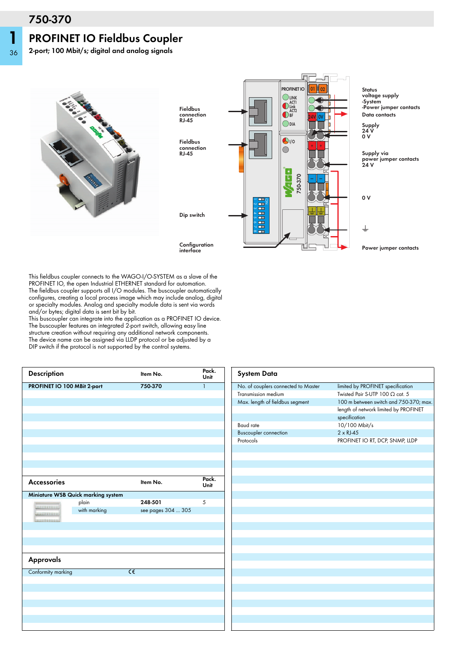## **750-370**

## **PROFINET IO Fieldbus Coupler**

**2-port; 100 Mbit/s; digital and analog signals**







This fieldbus coupler connects to the WAGO-I/O-SYSTEM as a slave of the PROFINET IO, the open Industrial ETHERNET standard for automation. The fieldbus coupler supports all I/O modules. The buscoupler automatically configures, creating a local process image which may include analog, digital or specialty modules. Analog and specialty module data is sent via words and/or bytes; digital data is sent bit by bit.

This buscoupler can integrate into the application as a PROFINET IO device. The buscoupler features an integrated 2-port switch, allowing easy line structure creation without requiring any additional network components. The device name can be assigned via LLDP protocol or be adjusted by a DIP switch if the protocol is not supported by the control systems.

| Description                 |                                    |                | Item No.           | Pack.<br>Unit |  |
|-----------------------------|------------------------------------|----------------|--------------------|---------------|--|
| PROFINET IO 100 MBit 2-port |                                    |                | 750-370            | $\mathbf{1}$  |  |
|                             |                                    |                |                    |               |  |
|                             |                                    |                |                    |               |  |
|                             |                                    |                |                    |               |  |
|                             |                                    |                |                    |               |  |
|                             |                                    |                |                    |               |  |
|                             |                                    |                |                    |               |  |
|                             |                                    |                |                    |               |  |
|                             |                                    |                |                    |               |  |
|                             |                                    |                |                    |               |  |
|                             |                                    |                |                    |               |  |
| <b>Accessories</b>          |                                    |                | Item No.           | Pack.<br>Unit |  |
|                             | Miniature WSB Quick marking system |                |                    |               |  |
| <u>la mond</u>              | plain                              |                | 248-501            | 5             |  |
| <b>SECOND CONTROL</b>       | with marking                       |                | see pages 304  305 |               |  |
| <b>MARKET ALL LEWIS</b>     |                                    |                |                    |               |  |
|                             |                                    |                |                    |               |  |
|                             |                                    |                |                    |               |  |
|                             |                                    |                |                    |               |  |
|                             |                                    |                |                    |               |  |
| Approvals                   |                                    |                |                    |               |  |
| Conformity marking          |                                    | $\overline{c}$ |                    |               |  |
|                             |                                    |                |                    |               |  |
|                             |                                    |                |                    |               |  |
|                             |                                    |                |                    |               |  |
|                             |                                    |                |                    |               |  |
|                             |                                    |                |                    |               |  |
|                             |                                    |                |                    |               |  |
|                             |                                    |                |                    |               |  |

| <b>System Data</b>                  |                                        |  |  |
|-------------------------------------|----------------------------------------|--|--|
| No. of couplers connected to Master | limited by PROFINET specification      |  |  |
| Transmission medium                 | Twisted Pair S-UTP 100 $\Omega$ cat. 5 |  |  |
| Max. length of fieldbus segment     | 100 m between switch and 750-370; max. |  |  |
|                                     | length of network limited by PROFINET  |  |  |
|                                     | specification                          |  |  |
| <b>Baud</b> rate                    | 10/100 Mbit/s                          |  |  |
| <b>Buscoupler connection</b>        | $2 \times R$ J-45                      |  |  |
| Protocols                           | PROFINET IO RT, DCP, SNMP, LLDP        |  |  |
|                                     |                                        |  |  |
|                                     |                                        |  |  |
|                                     |                                        |  |  |
|                                     |                                        |  |  |
|                                     |                                        |  |  |
|                                     |                                        |  |  |
|                                     |                                        |  |  |
|                                     |                                        |  |  |
|                                     |                                        |  |  |
|                                     |                                        |  |  |
|                                     |                                        |  |  |
|                                     |                                        |  |  |
|                                     |                                        |  |  |
|                                     |                                        |  |  |
|                                     |                                        |  |  |
|                                     |                                        |  |  |
|                                     |                                        |  |  |
|                                     |                                        |  |  |
|                                     |                                        |  |  |
|                                     |                                        |  |  |
|                                     |                                        |  |  |
|                                     |                                        |  |  |
|                                     |                                        |  |  |
|                                     |                                        |  |  |